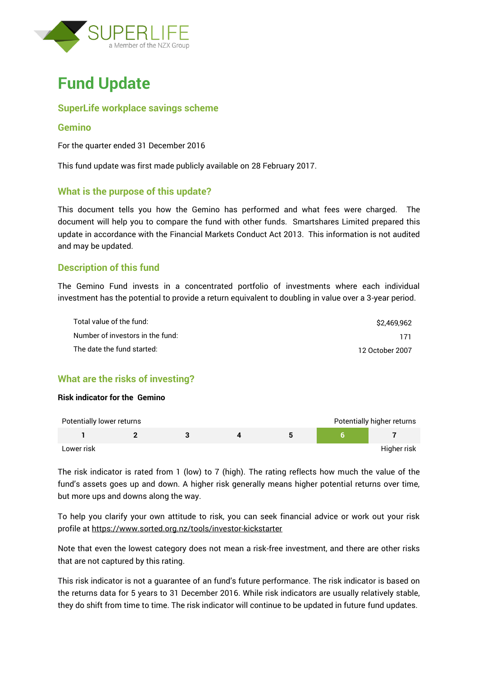



### **SuperLife workplace savings scheme**

#### **Gemino**

For the quarter ended 31 December 2016

This fund update was first made publicly available on 28 February 2017.

### **What is the purpose of this update?**

This document tells you how the Gemino has performed and what fees were charged. The document will help you to compare the fund with other funds. Smartshares Limited prepared this update in accordance with the Financial Markets Conduct Act 2013. This information is not audited and may be updated.

### **Description of this fund**

The Gemino Fund invests in a concentrated portfolio of investments where each individual investment has the potential to provide a return equivalent to doubling in value over a 3-year period.

| Total value of the fund:         | \$2.469.962     |
|----------------------------------|-----------------|
| Number of investors in the fund: | 171             |
| The date the fund started:       | 12 October 2007 |

### **What are the risks of investing?**

#### **Risk indicator for the Gemino**



The risk indicator is rated from 1 (low) to 7 (high). The rating reflects how much the value of the fund's assets goes up and down. A higher risk generally means higher potential returns over time, but more ups and downs along the way.

To help you clarify your own attitude to risk, you can seek financial advice or work out your risk profile at<https://www.sorted.org.nz/tools/investor-kickstarter>

Note that even the lowest category does not mean a risk-free investment, and there are other risks that are not captured by this rating.

This risk indicator is not a guarantee of an fund's future performance. The risk indicator is based on the returns data for 5 years to 31 December 2016. While risk indicators are usually relatively stable, they do shift from time to time. The risk indicator will continue to be updated in future fund updates.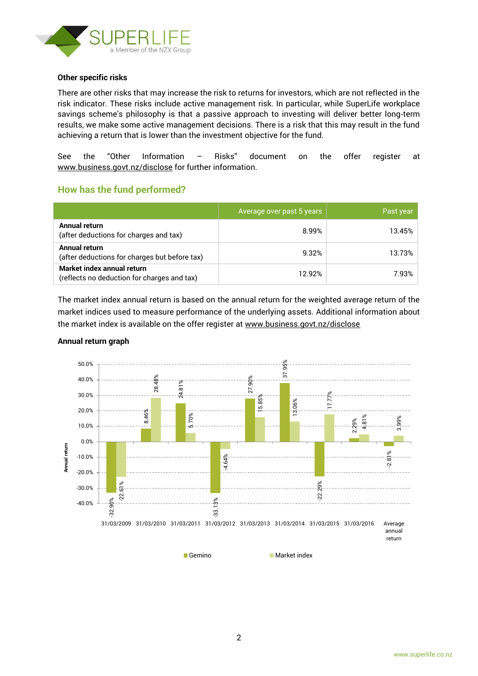

#### **Other specific risks**

There are other risks that may increase the risk to returns for investors, which are not reflected in the risk indicator. These risks include active management risk. In particular, while SuperLife workplace savings scheme's philosophy is that a passive approach to investing will deliver better long-term results, we make some active management decisions. There is a risk that this may result in the fund achieving a return that is lower than the investment objective for the fund.

See the "Other Information – Risks" document on the offer register at www.business.govt.nz/disclose for further information.

### **How has the fund performed?**

|                                                                           | Average over past 5 years | Past year |
|---------------------------------------------------------------------------|---------------------------|-----------|
| Annual return<br>(after deductions for charges and tax)                   | 8.99%                     | 13.45%    |
| Annual return<br>(after deductions for charges but before tax)            | 9.32%                     | 13.73%    |
| Market index annual return<br>(reflects no deduction for charges and tax) | 12.92%                    | 7.93%     |

The market index annual return is based on the annual return for the weighted average return of the market indices used to measure performance of the underlying assets. Additional information about the market index is available on the offer register at [www.business.govt.nz/disclose](http://www.business.govt.nz/disclose)



#### **Annual return graph**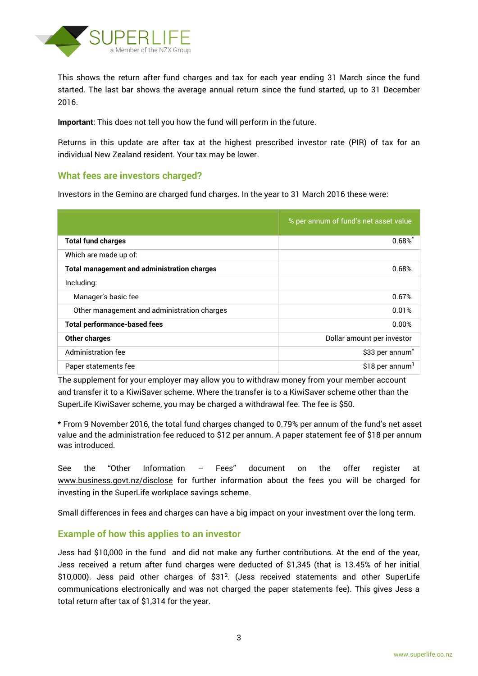

This shows the return after fund charges and tax for each year ending 31 March since the fund started. The last bar shows the average annual return since the fund started, up to 31 December 2016.

**Important**: This does not tell you how the fund will perform in the future.

Returns in this update are after tax at the highest prescribed investor rate (PIR) of tax for an individual New Zealand resident. Your tax may be lower.

### **What fees are investors charged?**

Investors in the Gemino are charged fund charges. In the year to 31 March 2016 these were:

|                                                    | % per annum of fund's net asset value |
|----------------------------------------------------|---------------------------------------|
| <b>Total fund charges</b>                          | $0.68\%$                              |
| Which are made up of:                              |                                       |
| <b>Total management and administration charges</b> | 0.68%                                 |
| Including:                                         |                                       |
| Manager's basic fee                                | 0.67%                                 |
| Other management and administration charges        | 0.01%                                 |
| <b>Total performance-based fees</b>                | 0.00%                                 |
| <b>Other charges</b>                               | Dollar amount per investor            |
| Administration fee                                 | \$33 per annum <sup>*</sup>           |
| Paper statements fee                               | \$18 per annum <sup>1</sup>           |

The supplement for your employer may allow you to withdraw money from your member account and transfer it to a KiwiSaver scheme. Where the transfer is to a KiwiSaver scheme other than the SuperLife KiwiSaver scheme, you may be charged a withdrawal fee. The fee is \$50.

\* From 9 November 2016, the total fund charges changed to 0.79% per annum of the fund's net asset value and the administration fee reduced to \$12 per annum. A paper statement fee of \$18 per annum was introduced.

See the "Other Information – Fees" document on the offer register at www.business.govt.nz/disclose for further information about the fees you will be charged for investing in the SuperLife workplace savings scheme.

Small differences in fees and charges can have a big impact on your investment over the long term.

### **Example of how this applies to an investor**

Jess had \$10,000 in the fund and did not make any further contributions. At the end of the year, Jess received a return after fund charges were deducted of \$1,345 (that is 13.45% of her initial  $$10,000$ ). Jess paid other charges of  $$31<sup>2</sup>$ . (Jess received statements and other SuperLife communications electronically and was not charged the paper statements fee). This gives Jess a total return after tax of \$1,314 for the year.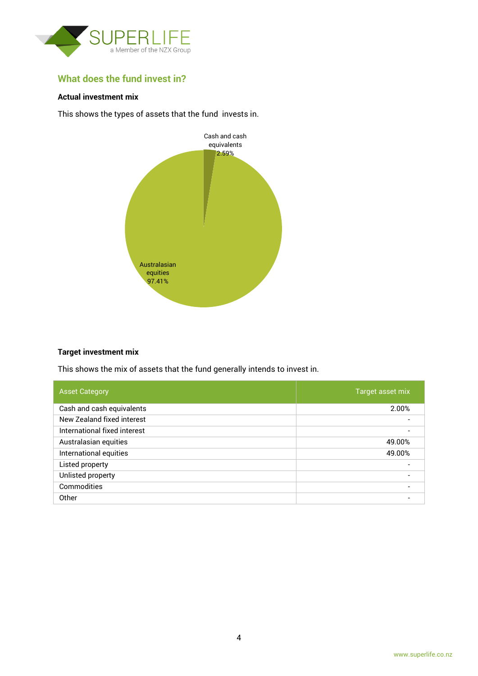

# **What does the fund invest in?**

### **Actual investment mix**

This shows the types of assets that the fund invests in.



#### **Target investment mix**

This shows the mix of assets that the fund generally intends to invest in.

| <b>Asset Category</b>        | Target asset mix |
|------------------------------|------------------|
| Cash and cash equivalents    | 2.00%            |
| New Zealand fixed interest   |                  |
| International fixed interest |                  |
| Australasian equities        | 49.00%           |
| International equities       | 49.00%           |
| Listed property              |                  |
| Unlisted property            | $\blacksquare$   |
| Commodities                  |                  |
| Other                        |                  |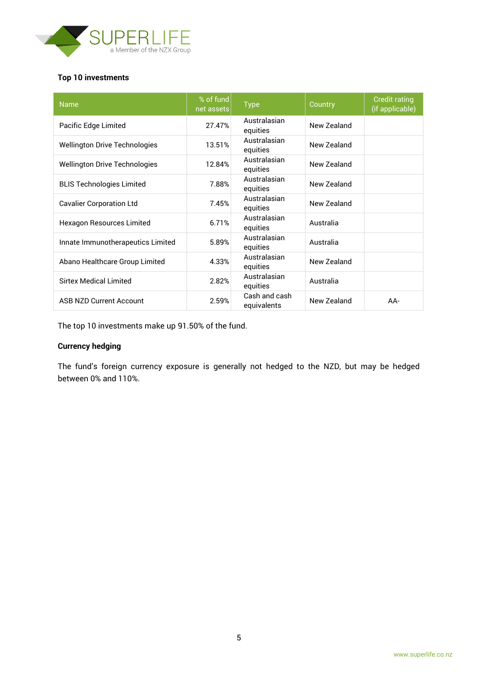

### **Top 10 investments**

| <b>Name</b>                          | % of fund<br>net assets | <b>Type</b>                  | Country     | <b>Credit rating</b><br>(if applicable) |
|--------------------------------------|-------------------------|------------------------------|-------------|-----------------------------------------|
| Pacific Edge Limited                 | 27.47%                  | Australasian<br>equities     | New Zealand |                                         |
| <b>Wellington Drive Technologies</b> | 13.51%                  | Australasian<br>equities     | New Zealand |                                         |
| <b>Wellington Drive Technologies</b> | 12.84%                  | Australasian<br>equities     | New Zealand |                                         |
| <b>BLIS Technologies Limited</b>     | 7.88%                   | Australasian<br>equities     | New Zealand |                                         |
| <b>Cavalier Corporation Ltd</b>      | 7.45%                   | Australasian<br>equities     | New Zealand |                                         |
| Hexagon Resources Limited            | 6.71%                   | Australasian<br>equities     | Australia   |                                         |
| Innate Immunotherapeutics Limited    | 5.89%                   | Australasian<br>equities     | Australia   |                                         |
| Abano Healthcare Group Limited       | 4.33%                   | Australasian<br>equities     | New Zealand |                                         |
| <b>Sirtex Medical Limited</b>        | 2.82%                   | Australasian<br>equities     | Australia   |                                         |
| <b>ASB NZD Current Account</b>       | 2.59%                   | Cash and cash<br>equivalents | New Zealand | AA-                                     |

The top 10 investments make up 91.50% of the fund.

## **Currency hedging**

The fund's foreign currency exposure is generally not hedged to the NZD, but may be hedged between 0% and 110%.